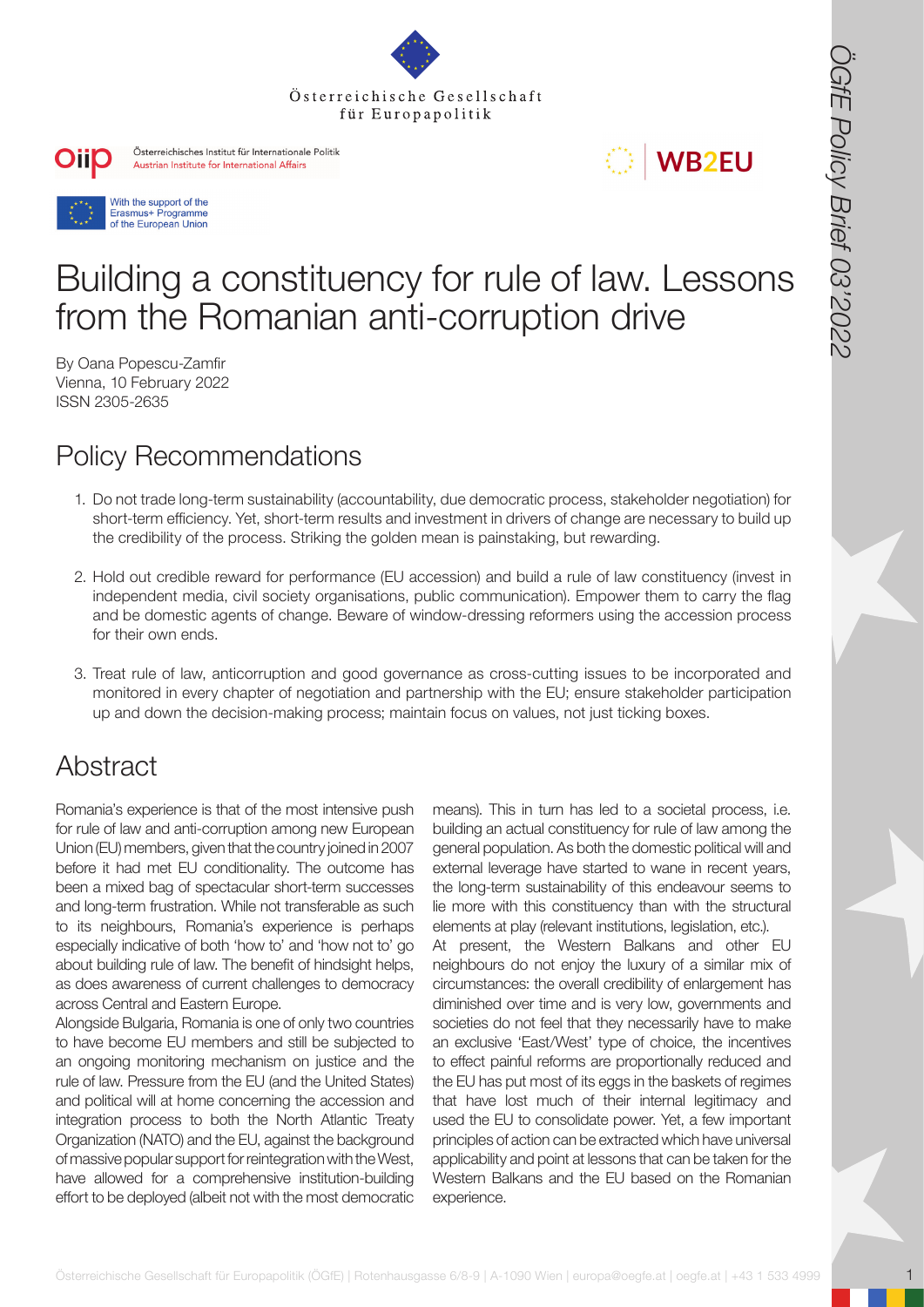







# Building a constituency for rule of law. Lessons from the Romanian anti-corruption drive

By Oana Popescu-Zamfir Vienna, 10 February 2022 ISSN 2305-2635

## Policy Recommendations

- 1. Do not trade long-term sustainability (accountability, due democratic process, stakeholder negotiation) for short-term efficiency. Yet, short-term results and investment in drivers of change are necessary to build up the credibility of the process. Striking the golden mean is painstaking, but rewarding.
- 2. Hold out credible reward for performance (EU accession) and build a rule of law constituency (invest in independent media, civil society organisations, public communication). Empower them to carry the flag and be domestic agents of change. Beware of window-dressing reformers using the accession process for their own ends.
- 3. Treat rule of law, anticorruption and good governance as cross-cutting issues to be incorporated and monitored in every chapter of negotiation and partnership with the EU; ensure stakeholder participation up and down the decision-making process; maintain focus on values, not just ticking boxes.

### Abstract

Romania's experience is that of the most intensive push for rule of law and anti-corruption among new European Union (EU) members, given that the country joined in 2007 before it had met EU conditionality. The outcome has been a mixed bag of spectacular short-term successes and long-term frustration. While not transferable as such to its neighbours, Romania's experience is perhaps especially indicative of both 'how to' and 'how not to' go about building rule of law. The benefit of hindsight helps, as does awareness of current challenges to democracy across Central and Eastern Europe.

Alongside Bulgaria, Romania is one of only two countries to have become EU members and still be subjected to an ongoing monitoring mechanism on justice and the rule of law. Pressure from the EU (and the United States) and political will at home concerning the accession and integration process to both the North Atlantic Treaty Organization (NATO) and the EU, against the background of massive popular support for reintegration with the West, have allowed for a comprehensive institution-building effort to be deployed (albeit not with the most democratic

**OSTERREICH FERD AND THE CONFERENCE SERVER FERD AND THE CONFERENCE SERVER FOR THE CONFERENCE SERVER FOR THE CONFERENCE SERVER FOR THE CONFERENCE SERVER FOR THE CONFERENCE SERVER FOR THE CONFERENCE SERVER FOR THE CONFERENCE** means). This in turn has led to a societal process, i.e. building an actual constituency for rule of law among the general population. As both the domestic political will and external leverage have started to wane in recent years, the long-term sustainability of this endeavour seems to lie more with this constituency than with the structural elements at play (relevant institutions, legislation, etc.). At present, the Western Balkans and other EU neighbours do not enjoy the luxury of a similar mix of circumstances: the overall credibility of enlargement has diminished over time and is very low, governments and societies do not feel that they necessarily have to make an exclusive 'East/West' type of choice, the incentives to effect painful reforms are proportionally reduced and the EU has put most of its eggs in the baskets of regimes that have lost much of their internal legitimacy and used the EU to consolidate power. Yet, a few important principles of action can be extracted which have universal

applicability and point at lessons that can be taken for the Western Balkans and the EU based on the Romanian

experience.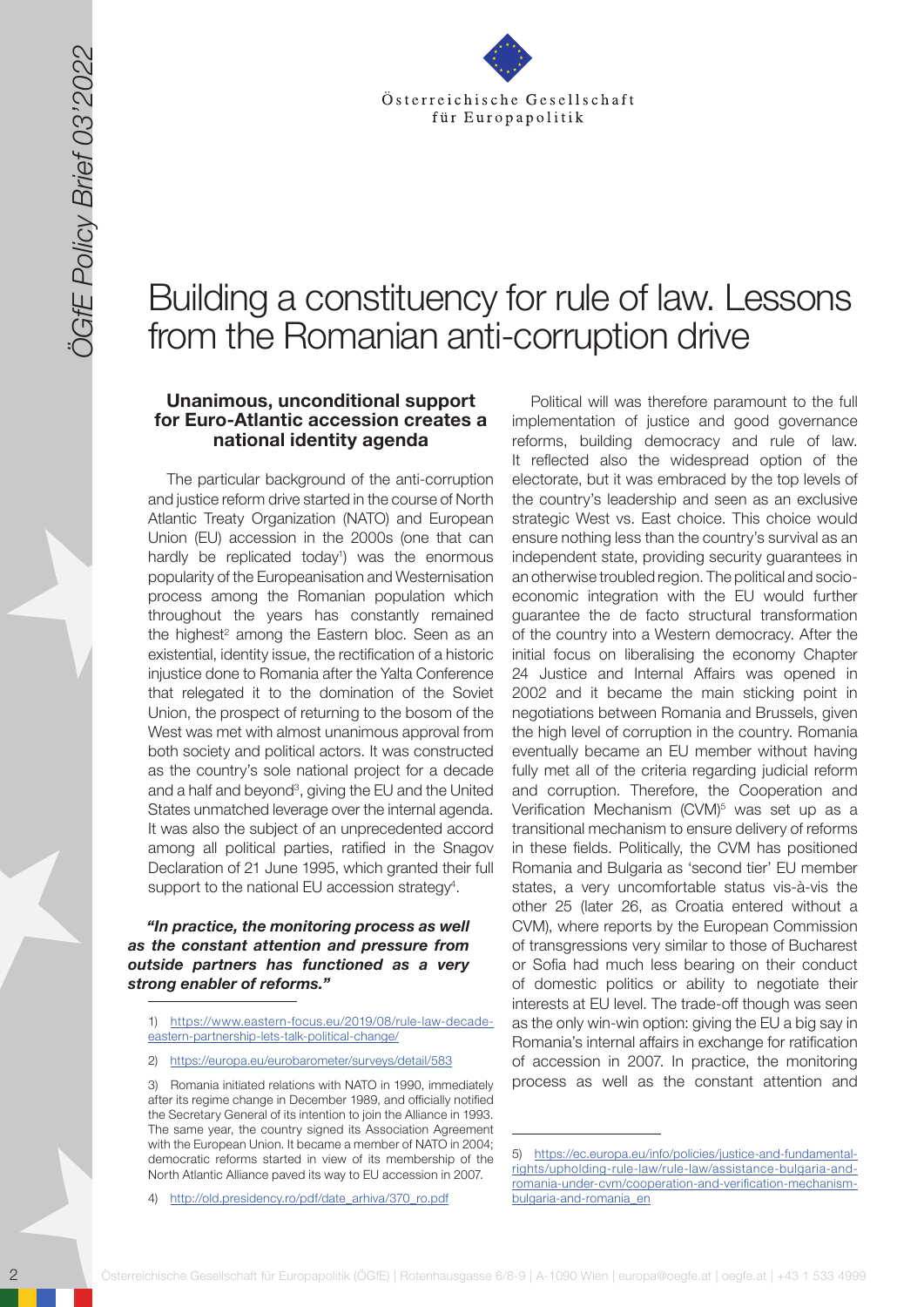

## Building a constituency for rule of law. Lessons from the Romanian anti-corruption drive

#### **Unanimous, unconditional support for Euro-Atlantic accession creates a national identity agenda**

The particular background of the anti-corruption and justice reform drive started in the course of North Atlantic Treaty Organization (NATO) and European Union (EU) accession in the 2000s (one that can hardly be replicated today<sup>1</sup>) was the enormous popularity of the Europeanisation and Westernisation process among the Romanian population which throughout the years has constantly remained the highest<sup>2</sup> among the Eastern bloc. Seen as an existential, identity issue, the rectification of a historic injustice done to Romania after the Yalta Conference that relegated it to the domination of the Soviet Union, the prospect of returning to the bosom of the West was met with almost unanimous approval from both society and political actors. It was constructed as the country's sole national project for a decade and a half and beyond<sup>3</sup>, giving the EU and the United States unmatched leverage over the internal agenda. It was also the subject of an unprecedented accord among all political parties, ratified in the Snagov Declaration of 21 June 1995, which granted their full support to the national EU accession strategy<sup>4</sup>.

#### *"In practice, the monitoring process as well as the constant attention and pressure from outside partners has functioned as a very strong enabler of reforms."*

2) <https://europa.eu/eurobarometer/surveys/detail/583>

2 Solen Constitute Constitute Constitute Constitute Constitute Constitute Constitute Constitute Constitute Constitute Constitute Constitute Constitute Constitute Constitute Constitute Constitute Constitute Constitute Const Political will was therefore paramount to the full implementation of justice and good governance reforms, building democracy and rule of law. It reflected also the widespread option of the electorate, but it was embraced by the top levels of the country's leadership and seen as an exclusive strategic West vs. East choice. This choice would ensure nothing less than the country's survival as an independent state, providing security guarantees in an otherwise troubled region. The political and socioeconomic integration with the EU would further guarantee the de facto structural transformation of the country into a Western democracy. After the initial focus on liberalising the economy Chapter 24 Justice and Internal Affairs was opened in 2002 and it became the main sticking point in negotiations between Romania and Brussels, given the high level of corruption in the country. Romania eventually became an EU member without having fully met all of the criteria regarding judicial reform and corruption. Therefore, the Cooperation and Verification Mechanism (CVM)<sup>5</sup> was set up as a transitional mechanism to ensure delivery of reforms in these fields. Politically, the CVM has positioned Romania and Bulgaria as 'second tier' EU member states, a very uncomfortable status vis-à-vis the other 25 (later 26, as Croatia entered without a CVM), where reports by the European Commission of transgressions very similar to those of Bucharest or Sofia had much less bearing on their conduct of domestic politics or ability to negotiate their interests at EU level. The trade-off though was seen as the only win-win option: giving the EU a big say in Romania's internal affairs in exchange for ratification of accession in 2007. In practice, the monitoring process as well as the constant attention and

<sup>1)</sup> [https://www.eastern-focus.eu/2019/08/rule-law-decade](https://www.eastern-focus.eu/2019/08/rule-law-decade-eastern-partnership-lets-talk-political-change/)[eastern-partnership-lets-talk-political-change/](https://www.eastern-focus.eu/2019/08/rule-law-decade-eastern-partnership-lets-talk-political-change/)

<sup>3)</sup> Romania initiated relations with NATO in 1990, immediately after its regime change in December 1989, and officially notified the Secretary General of its intention to join the Alliance in 1993. The same year, the country signed its Association Agreement with the European Union. It became a member of NATO in 2004; democratic reforms started in view of its membership of the North Atlantic Alliance paved its way to EU accession in 2007.

[http://old.presidency.ro/pdf/date\\_arhiva/370\\_ro.pdf](http://old.presidency.ro/pdf/date_arhiva/370_ro.pdf)

<sup>5)</sup> [https://ec.europa.eu/info/policies/justice-and-fundamental](https://ec.europa.eu/info/policies/justice-and-fundamental-rights/upholding-rule-law/rule-law/assist)[rights/upholding-rule-law/rule-law/assistance-bulgaria-and](https://ec.europa.eu/info/policies/justice-and-fundamental-rights/upholding-rule-law/rule-law/assist)[romania-under-cvm/cooperation-and-verification-mechanism](https://ec.europa.eu/info/policies/justice-and-fundamental-rights/upholding-rule-law/rule-law/assist)[bulgaria-and-romania\\_en](https://ec.europa.eu/info/policies/justice-and-fundamental-rights/upholding-rule-law/rule-law/assist)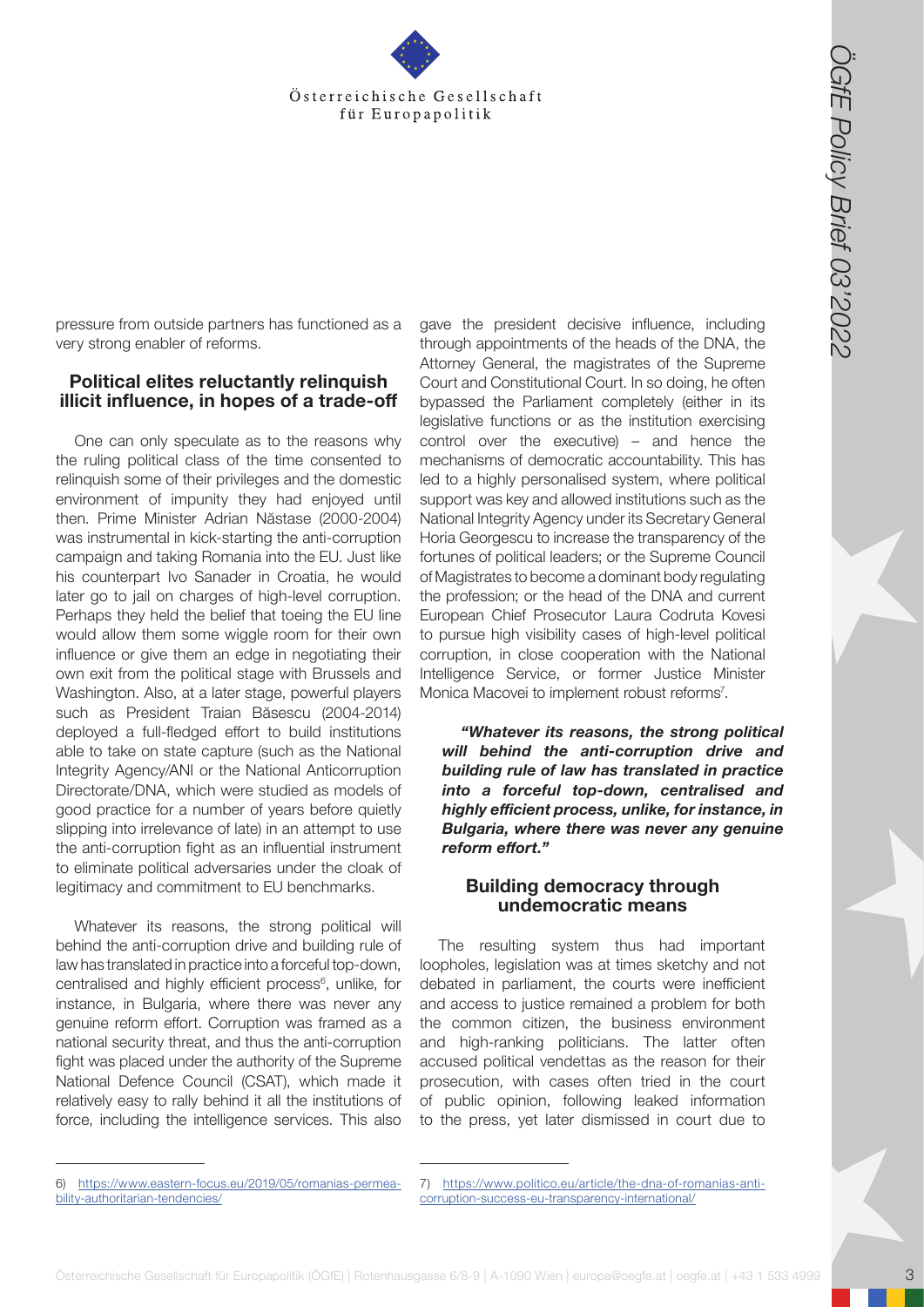

pressure from outside partners has functioned as a very strong enabler of reforms.

#### **Political elites reluctantly relinquish illicit influence, in hopes of a trade-off**

**Osterreichische Gesellschaft für Europapolitik (ÖGfe) | Rotenhausgasse 6/8-9 | A-1090 Wien | Europapolitik (ÖGfe) | Rotenhausgasse 6/8-9 | A-1090 Wien | europapolitik (ÖGfe) | A-1090 Wien | europapolitik (ÖGfe) | A-1090** One can only speculate as to the reasons why the ruling political class of the time consented to relinquish some of their privileges and the domestic environment of impunity they had enjoyed until then. Prime Minister Adrian Năstase (2000-2004) was instrumental in kick-starting the anti-corruption campaign and taking Romania into the EU. Just like his counterpart Ivo Sanader in Croatia, he would later go to jail on charges of high-level corruption. Perhaps they held the belief that toeing the EU line would allow them some wiggle room for their own influence or give them an edge in negotiating their own exit from the political stage with Brussels and Washington. Also, at a later stage, powerful players such as President Traian Băsescu (2004-2014) deployed a full-fledged effort to build institutions able to take on state capture (such as the National Integrity Agency/ANI or the National Anticorruption Directorate/DNA, which were studied as models of good practice for a number of years before quietly slipping into irrelevance of late) in an attempt to use the anti-corruption fight as an influential instrument to eliminate political adversaries under the cloak of legitimacy and commitment to EU benchmarks.

Whatever its reasons, the strong political will behind the anti-corruption drive and building rule of law has translated in practice into a forceful top-down, centralised and highly efficient process<sup>6</sup>, unlike, for instance, in Bulgaria, where there was never any genuine reform effort. Corruption was framed as a national security threat, and thus the anti-corruption fight was placed under the authority of the Supreme National Defence Council (CSAT), which made it relatively easy to rally behind it all the institutions of force, including the intelligence services. This also gave the president decisive influence, including through appointments of the heads of the DNA, the Attorney General, the magistrates of the Supreme Court and Constitutional Court. In so doing, he often bypassed the Parliament completely (either in its legislative functions or as the institution exercising control over the executive) – and hence the mechanisms of democratic accountability. This has led to a highly personalised system, where political support was key and allowed institutions such as the National Integrity Agency under its Secretary General Horia Georgescu to increase the transparency of the fortunes of political leaders; or the Supreme Council of Magistrates to become a dominant body regulating the profession; or the head of the DNA and current European Chief Prosecutor Laura Codruta Kovesi to pursue high visibility cases of high-level political corruption, in close cooperation with the National Intelligence Service, or former Justice Minister Monica Macovei to implement robust reforms<sup>7</sup>.

*"Whatever its reasons, the strong political will behind the anti-corruption drive and building rule of law has translated in practice into a forceful top-down, centralised and highly efficient process, unlike, for instance, in Bulgaria, where there was never any genuine reform effort."*

#### **Building democracy through undemocratic means**

The resulting system thus had important loopholes, legislation was at times sketchy and not debated in parliament, the courts were inefficient and access to justice remained a problem for both the common citizen, the business environment and high-ranking politicians. The latter often accused political vendettas as the reason for their prosecution, with cases often tried in the court of public opinion, following leaked information to the press, yet later dismissed in court due to

<sup>6)</sup> [https://www.eastern-focus.eu/2019/05/romanias-permea](https://www.eastern-focus.eu/2019/05/romanias-permeability-authoritarian-tendencies/)[bility-authoritarian-tendencies/](https://www.eastern-focus.eu/2019/05/romanias-permeability-authoritarian-tendencies/)

<sup>7)</sup> [https://www.politico.eu/article/the-dna-of-romanias-anti](https://www.politico.eu/article/the-dna-of-romanias-anti-corruption-success-eu-transparency-internat)[corruption-success-eu-transparency-international/](https://www.politico.eu/article/the-dna-of-romanias-anti-corruption-success-eu-transparency-internat)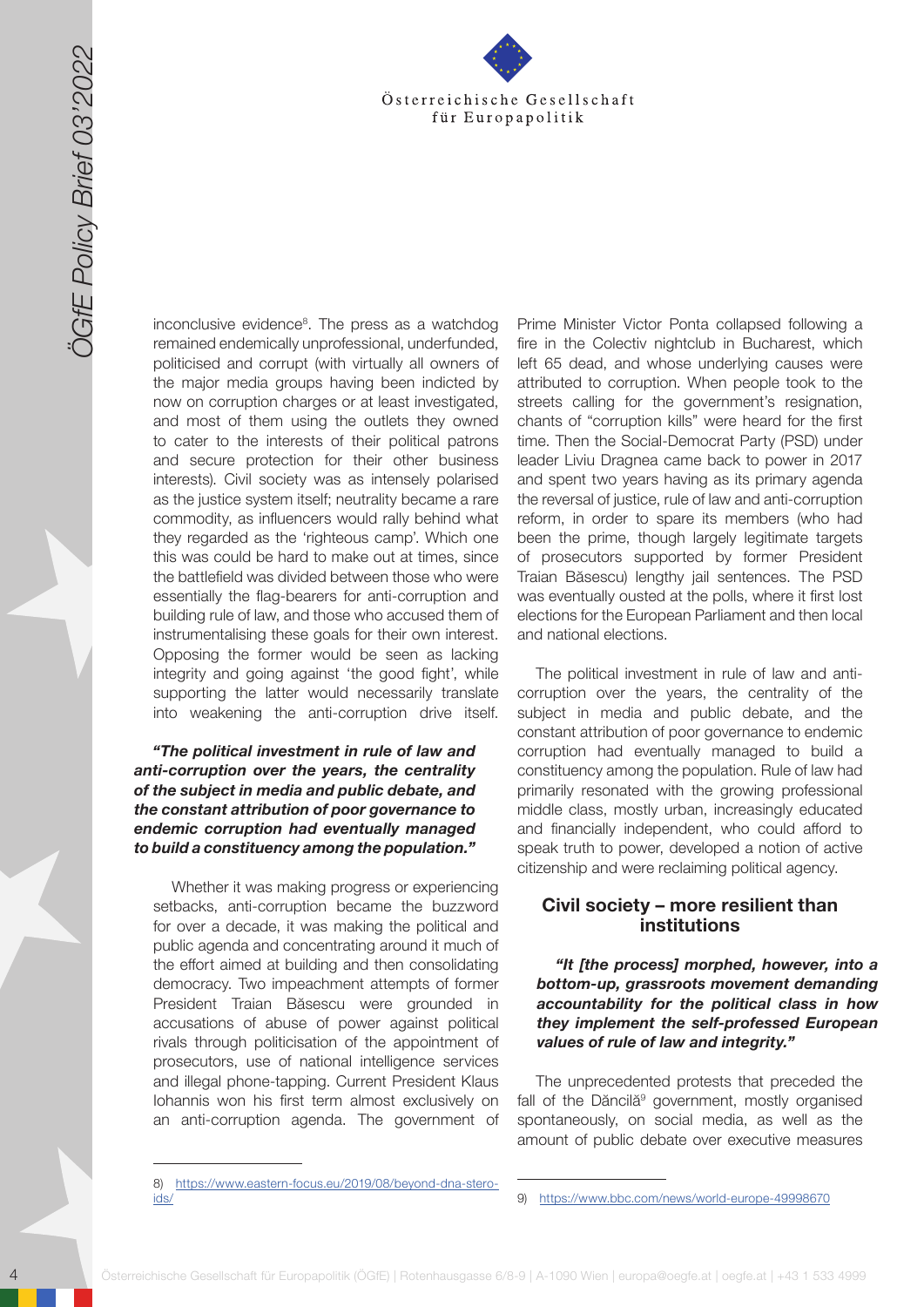

4 October 1991 March 2022 Control to the set of the set of the set of the set of the set of the set of the set of the set of the set of the set of the set of the set of the set of the set of the set of the set of the set o inconclusive evidence<sup>8</sup>. The press as a watchdog remained endemically unprofessional, underfunded, politicised and corrupt (with virtually all owners of the major media groups having been indicted by now on corruption charges or at least investigated, and most of them using the outlets they owned to cater to the interests of their political patrons and secure protection for their other business interests). Civil society was as intensely polarised as the justice system itself; neutrality became a rare commodity, as influencers would rally behind what they regarded as the 'righteous camp'. Which one this was could be hard to make out at times, since the battlefield was divided between those who were essentially the flag-bearers for anti-corruption and building rule of law, and those who accused them of instrumentalising these goals for their own interest. Opposing the former would be seen as lacking integrity and going against 'the good fight', while supporting the latter would necessarily translate into weakening the anti-corruption drive itself.

#### *"The political investment in rule of law and anti-corruption over the years, the centrality of the subject in media and public debate, and the constant attribution of poor governance to endemic corruption had eventually managed to build a constituency among the population."*

Whether it was making progress or experiencing setbacks, anti-corruption became the buzzword for over a decade, it was making the political and public agenda and concentrating around it much of the effort aimed at building and then consolidating democracy. Two impeachment attempts of former President Traian Băsescu were grounded in accusations of abuse of power against political rivals through politicisation of the appointment of prosecutors, use of national intelligence services and illegal phone-tapping. Current President Klaus Iohannis won his first term almost exclusively on an anti-corruption agenda. The government of

Prime Minister Victor Ponta collapsed following a fire in the Colectiv nightclub in Bucharest, which left 65 dead, and whose underlying causes were attributed to corruption. When people took to the streets calling for the government's resignation, chants of "corruption kills" were heard for the first time. Then the Social-Democrat Party (PSD) under leader Liviu Dragnea came back to power in 2017 and spent two years having as its primary agenda the reversal of justice, rule of law and anti-corruption reform, in order to spare its members (who had been the prime, though largely legitimate targets of prosecutors supported by former President Traian Băsescu) lengthy jail sentences. The PSD was eventually ousted at the polls, where it first lost elections for the European Parliament and then local and national elections.

The political investment in rule of law and anticorruption over the years, the centrality of the subject in media and public debate, and the constant attribution of poor governance to endemic corruption had eventually managed to build a constituency among the population. Rule of law had primarily resonated with the growing professional middle class, mostly urban, increasingly educated and financially independent, who could afford to speak truth to power, developed a notion of active citizenship and were reclaiming political agency.

#### **Civil society – more resilient than institutions**

#### *"It [the process] morphed, however, into a bottom-up, grassroots movement demanding accountability for the political class in how they implement the self-professed European values of rule of law and integrity."*

The unprecedented protests that preceded the fall of the Dăncilă<sup>9</sup> government, mostly organised spontaneously, on social media, as well as the amount of public debate over executive measures

<sup>8)</sup> [https://www.eastern-focus.eu/2019/08/beyond-dna-stero](https://www.eastern-focus.eu/2019/08/beyond-dna-steroids/)[ids/](https://www.eastern-focus.eu/2019/08/beyond-dna-steroids/)

<sup>9)</sup> <https://www.bbc.com/news/world-europe-49998670>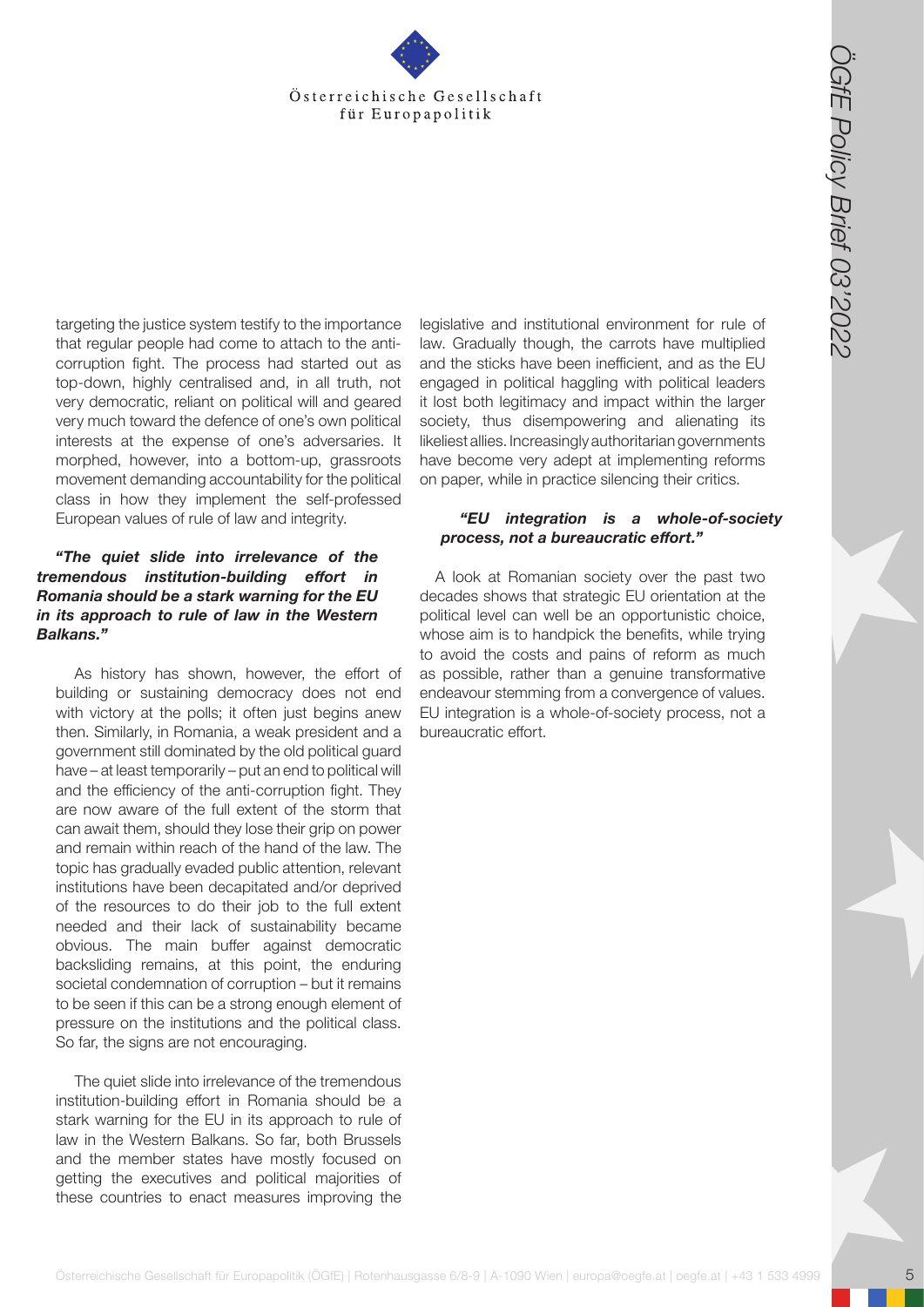

targeting the justice system testify to the importance that regular people had come to attach to the anticorruption fight. The process had started out as top-down, highly centralised and, in all truth, not very democratic, reliant on political will and geared very much toward the defence of one's own political interests at the expense of one's adversaries. It morphed, however, into a bottom-up, grassroots movement demanding accountability for the political class in how they implement the self-professed European values of rule of law and integrity.

#### *"The quiet slide into irrelevance of the tremendous institution-building effort in Romania should be a stark warning for the EU in its approach to rule of law in the Western Balkans."*

**Osterreichische Gesellschaft für Europapolitik (Cffe) | Rotenhausgasse 6/8-9 | A-1090 Wien | Rotenhausgasse 6/8-9 | A-1090 Wien | A-1090 Wien | A-1090 Wien | europapolitik (Vision International Case) | A-1090 Wien | A-10** As history has shown, however, the effort of building or sustaining democracy does not end with victory at the polls; it often just begins anew then. Similarly, in Romania, a weak president and a government still dominated by the old political guard have – at least temporarily – put an end to political will and the efficiency of the anti-corruption fight. They are now aware of the full extent of the storm that can await them, should they lose their grip on power and remain within reach of the hand of the law. The topic has gradually evaded public attention, relevant institutions have been decapitated and/or deprived of the resources to do their job to the full extent needed and their lack of sustainability became obvious. The main buffer against democratic backsliding remains, at this point, the enduring societal condemnation of corruption – but it remains to be seen if this can be a strong enough element of pressure on the institutions and the political class. So far, the signs are not encouraging.

The quiet slide into irrelevance of the tremendous institution-building effort in Romania should be a stark warning for the EU in its approach to rule of law in the Western Balkans. So far, both Brussels and the member states have mostly focused on getting the executives and political majorities of these countries to enact measures improving the

legislative and institutional environment for rule of law. Gradually though, the carrots have multiplied and the sticks have been inefficient, and as the EU engaged in political haggling with political leaders it lost both legitimacy and impact within the larger society, thus disempowering and alienating its likeliest allies. Increasingly authoritarian governments have become very adept at implementing reforms on paper, while in practice silencing their critics.

#### *"EU integration is a whole-of-society process, not a bureaucratic effort."*

A look at Romanian society over the past two decades shows that strategic EU orientation at the political level can well be an opportunistic choice, whose aim is to handpick the benefits, while trying to avoid the costs and pains of reform as much as possible, rather than a genuine transformative endeavour stemming from a convergence of values. EU integration is a whole-of-society process, not a bureaucratic effort.